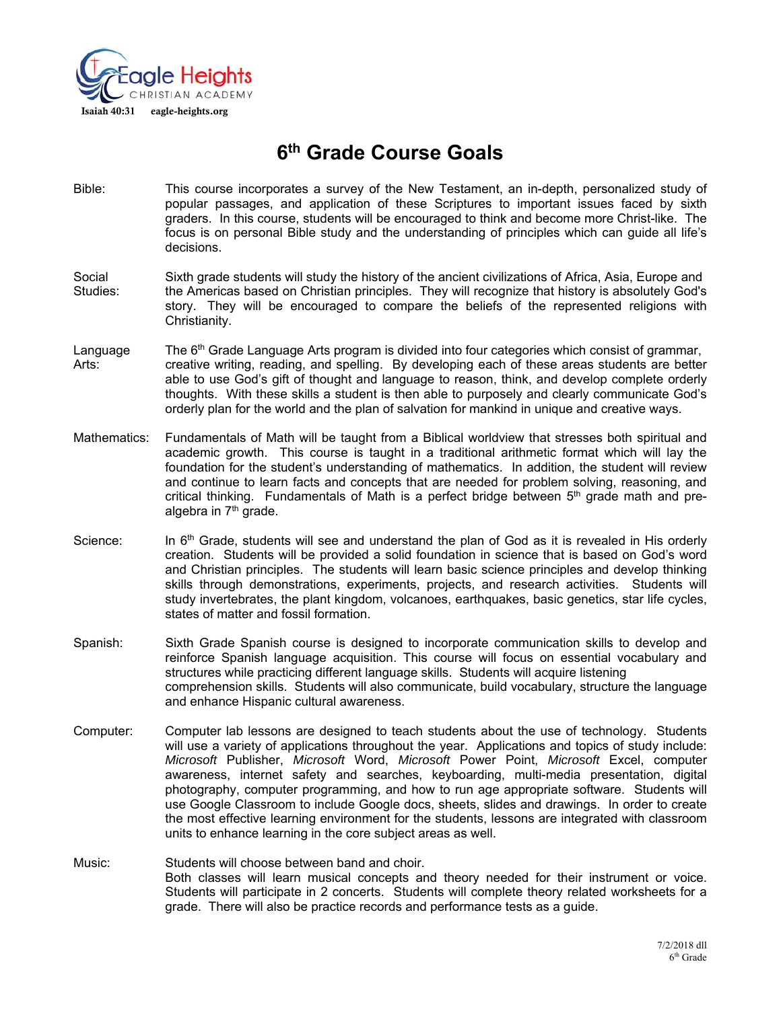

# **6th Grade Course Goals**

- Bible: This course incorporates a survey of the New Testament, an in-depth, personalized study of popular passages, and application of these Scriptures to important issues faced by sixth graders. In this course, students will be encouraged to think and become more Christ-like. The focus is on personal Bible study and the understanding of principles which can guide all life's decisions.
- Social Sixth grade students will study the history of the ancient civilizations of Africa, Asia, Europe and Studies: the Americas based on Christian principles. They will recognize that history is absolutely God's story. They will be encouraged to compare the beliefs of the represented religions with Christianity.
- Language The  $6<sup>th</sup>$  Grade Language Arts program is divided into four categories which consist of grammar, Arts: creative writing, reading, and spelling. By developing each of these areas students are better able to use God's gift of thought and language to reason, think, and develop complete orderly thoughts. With these skills a student is then able to purposely and clearly communicate God's orderly plan for the world and the plan of salvation for mankind in unique and creative ways.
- Mathematics: Fundamentals of Math will be taught from a Biblical worldview that stresses both spiritual and academic growth. This course is taught in a traditional arithmetic format which will lay the foundation for the student's understanding of mathematics. In addition, the student will review and continue to learn facts and concepts that are needed for problem solving, reasoning, and critical thinking. Fundamentals of Math is a perfect bridge between  $5<sup>th</sup>$  grade math and prealgebra in 7<sup>th</sup> grade.
- Science: In  $6<sup>th</sup>$  Grade, students will see and understand the plan of God as it is revealed in His orderly creation. Students will be provided a solid foundation in science that is based on God's word and Christian principles. The students will learn basic science principles and develop thinking skills through demonstrations, experiments, projects, and research activities. Students will study invertebrates, the plant kingdom, volcanoes, earthquakes, basic genetics, star life cycles, states of matter and fossil formation.
- Spanish: Sixth Grade Spanish course is designed to incorporate communication skills to develop and reinforce Spanish language acquisition. This course will focus on essential vocabulary and structures while practicing different language skills. Students will acquire listening comprehension skills. Students will also communicate, build vocabulary, structure the language and enhance Hispanic cultural awareness.
- Computer: Computer lab lessons are designed to teach students about the use of technology. Students will use a variety of applications throughout the year. Applications and topics of study include: *Microsoft* Publisher, *Microsoft* Word, *Microsoft* Power Point, *Microsoft* Excel, computer awareness, internet safety and searches, keyboarding, multi-media presentation, digital photography, computer programming, and how to run age appropriate software. Students will use Google Classroom to include Google docs, sheets, slides and drawings. In order to create the most effective learning environment for the students, lessons are integrated with classroom units to enhance learning in the core subject areas as well.
- Music: Students will choose between band and choir. Both classes will learn musical concepts and theory needed for their instrument or voice. Students will participate in 2 concerts. Students will complete theory related worksheets for a grade. There will also be practice records and performance tests as a guide.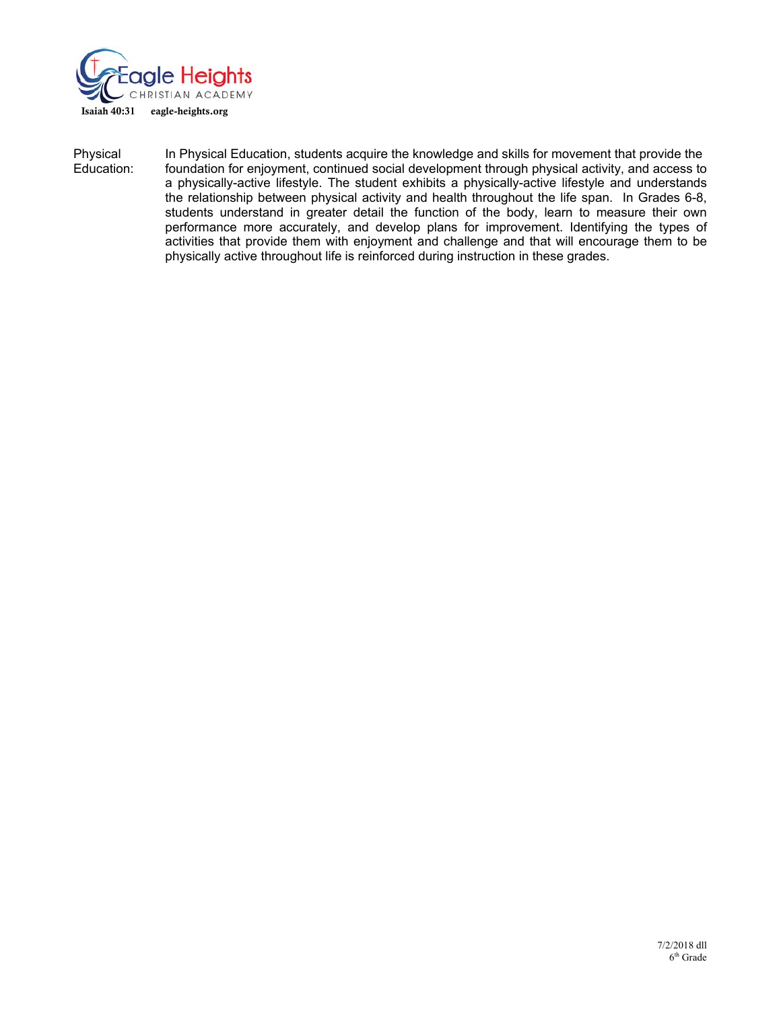

Physical In Physical Education, students acquire the knowledge and skills for movement that provide the Education:<br>Education: foundation for enjoyment, continued social development through physical activity, and access to foundation for enjoyment, continued social development through physical activity, and access to a physically-active lifestyle. The student exhibits a physically-active lifestyle and understands the relationship between physical activity and health throughout the life span. In Grades 6-8, students understand in greater detail the function of the body, learn to measure their own performance more accurately, and develop plans for improvement. Identifying the types of activities that provide them with enjoyment and challenge and that will encourage them to be physically active throughout life is reinforced during instruction in these grades.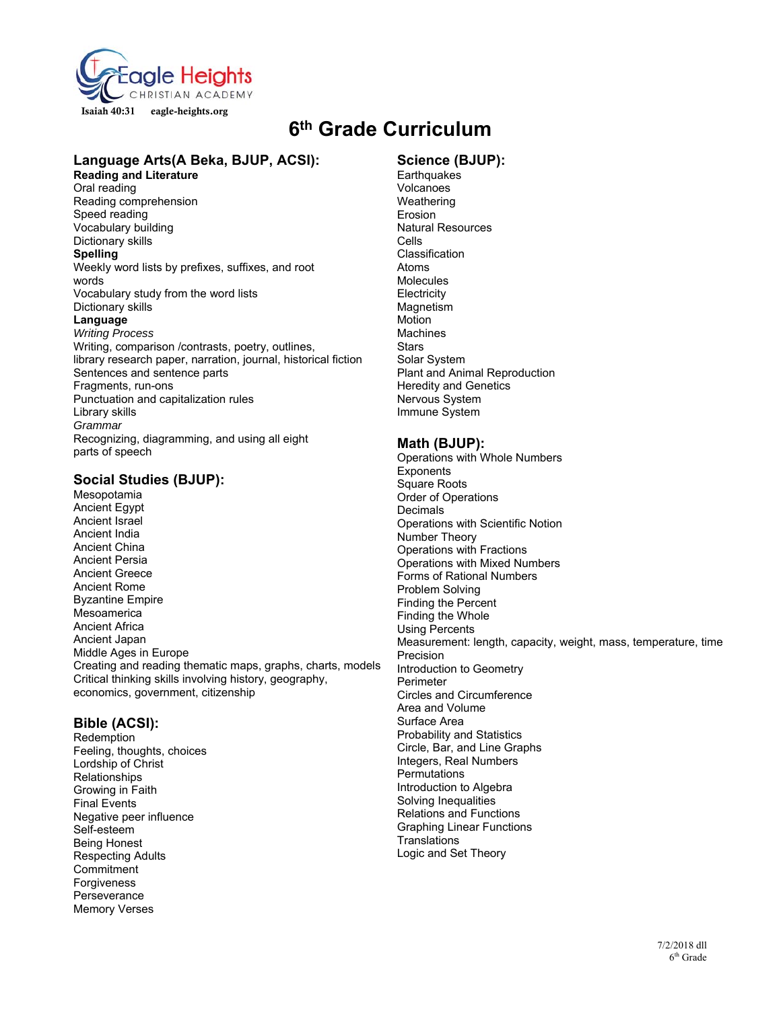

## **6th Grade Curriculum**

#### **Language Arts(A Beka, BJUP, ACSI):**

**Reading and Literature** 

Oral reading Reading comprehension Speed reading Vocabulary building Dictionary skills **Spelling**  Weekly word lists by prefixes, suffixes, and root words Vocabulary study from the word lists Dictionary skills **Language**  *Writing Process*  Writing, comparison /contrasts, poetry, outlines, library research paper, narration, journal, historical fiction Sentences and sentence parts Fragments, run-ons Punctuation and capitalization rules Library skills *Grammar*  Recognizing, diagramming, and using all eight parts of speech

#### **Social Studies (BJUP):**

Mesopotamia Ancient Egypt Ancient Israel Ancient India Ancient China Ancient Persia Ancient Greece Ancient Rome Byzantine Empire Mesoamerica Ancient Africa Ancient Japan Middle Ages in Europe Creating and reading thematic maps, graphs, charts, models Critical thinking skills involving history, geography, economics, government, citizenship

#### **Bible (ACSI):**

Redemption Feeling, thoughts, choices Lordship of Christ Relationships Growing in Faith Final Events Negative peer influence Self-esteem Being Honest Respecting Adults **Commitment** Forgiveness **Perseverance** Memory Verses

### **Science (BJUP):**

**Earthquakes** Volcanoes **Weathering** Erosion Natural Resources Cells Classification Atoms **Molecules Electricity Magnetism** Motion **Machines Stars** Solar System Plant and Animal Reproduction Heredity and Genetics Nervous System Immune System

#### **Math (BJUP):**

Operations with Whole Numbers **Exponents** Square Roots Order of Operations **Decimals** Operations with Scientific Notion Number Theory Operations with Fractions Operations with Mixed Numbers Forms of Rational Numbers Problem Solving Finding the Percent Finding the Whole Using Percents Measurement: length, capacity, weight, mass, temperature, time Precision Introduction to Geometry Perimeter Circles and Circumference Area and Volume Surface Area Probability and Statistics Circle, Bar, and Line Graphs Integers, Real Numbers **Permutations** Introduction to Algebra Solving Inequalities Relations and Functions Graphing Linear Functions **Translations** Logic and Set Theory